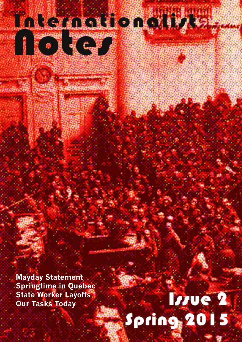**Mayday Statement Springtime in Quebec State Worker Layoffs Our Tasks Today**

**Inkstaation with** 

**CONSTRUCTION** 

# Inve<sub>2</sub> Spring 2015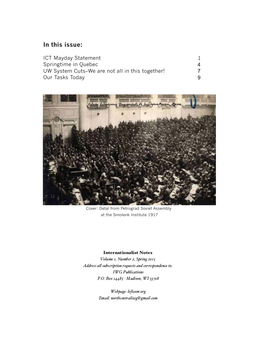### **In this issue:**

| ICT Mayday Statement                            |  |
|-------------------------------------------------|--|
| Springtime in Quebec                            |  |
| UW System Cuts–We are not all in this together! |  |
| Our Tasks Today                                 |  |



Cover: Detal from Petrograd Soviet Assembly at the Smolenk Institute 1917

#### Internationalist Notes

Volume 1, Number 2, Spring 2015 Address all subscription requests and correspondence to: **IWG** Publications P.O. Box 14485 · Madison, WI 53708

> Webpage: leftcom.org Email: northcentraliwg@gmail.com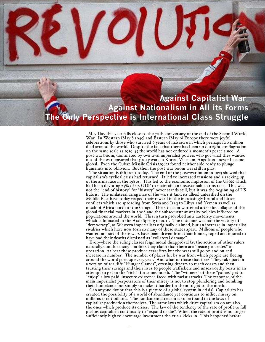## **Against Capitalist War Against Nationalism in All its Forms Only Perspective is International Class Struggle**

May Day this year falls close to the 70th anniversary of the end of the Second World War. In Western (May 8 1945) and Eastern (May 9) Europe there were joyful celebrations by those who survived 6 years of massacre in which perhaps 100 million died around the world. Despite the fact that there has been no outright conflagration on the same scale as  $1939-45$  the world has not endured a moment's peace since. A post-war boom, dominated by two rival imperialist powers who got what they wanted out of the war, ensured that proxy wars in Korea, Vietnam, Angola etc never became global. Even the Cuban Missile Crisis (1962) found neither side ready to plunge humanity into oblivion. But then the post-war boom was still in play.

The situation is different today. The end of the post-war boom in 1973 showed that capitalism's cyclical crisis had returned. It led to increased tensions and a racking up of the arms race in the 1980s. This led to the economic implosion of the USSR which had been devoting 25% of its GDP to maintain an unsustainable arms race. This was not the "end of history" for "history" never stands still, but it was the beginning of US hubris. The unilateral arrogance of the wars it (and its allies) unleashed on the Middle East have today reaped their reward in the increasingly brutal and bitter conflicts which are spreading from Syria and Iraq to Libya and Yemen as well as much of Africa north of the Congo. The situation worsened after the collapse of the global financial markets in 2008 and the subsequent austerity policies inflicted on populations around the world. This in turn provoked anti-austerity movements which culminated in the Arab Spring of 2011. The outcome was not the victory of "democracy", as Western imperialists originally claimed, but an increase in imperialist rivalries which have now torn so many of these states apart. Millions of people who wanted no part of these wars have been driven from their homes, raped and injured or have had their deaths dismissed as "collateral damage".

Everywhere the ruling classes feign moral disapproval (at the actions of other rulers naturally) and for many conflicts they claim that there are "peace processes" in operation. At best these produce ceasefires but the wars still go on and on and increase in number. The number of places hit by war from which people are fleeing around the world goes up every year. And what of those that flee? They take part in a version of real-life "Hunger Games", crossing deserts to reach coasts and then trusting their savings and their lives to people traffickers and unseaworthy boats in an attempt to get to the "rich" (for some) north. The "winners" of these "games" get to "enjoy" a low paid, insecure existence faced with racist attacks. The response of the main imperialist perpetrators of their misery is not to stop plundering and bombing their homelands but simply to make it harder for them to get to the north.

Can anyone doubt that this is a picture of a global system in crisis? Capitalism has created the possibility of a world of abundance yet continues to inflict misery on millions if not billions. The fundamental reason is to be found in the laws of capitalist production themselves. The same laws which drive capitalism on are also the ones which produce its crises. The law of the tendency of the rate of profit to fall pushes capitalism continually to "expand or die". When the rate of profit is no longer sufficiently high to encourage investment the crisis kicks in. This happened before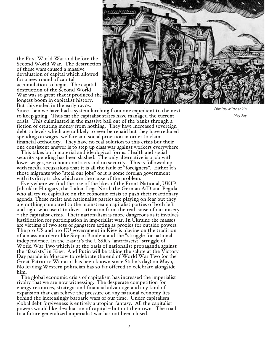the First World War and before the Second World War. The destruction of these wars caused a massive devaluation of capital which allowed for a new round of capital accumulation to begin. The capital destruction of the Second World War was so great that it produced the longest boom in capitalist history. But this ended in the early 1970s.



Since then we have had a system lurching from one expedient to the next to keep going. Thus far the capitalist states have managed the current crisis. This culminated in the massive bail out of the banks through a fiction of creating money from nothing. They have increased sovereign debt to levels which are unlikely to ever be repaid but they have reduced spending on wages, welfare and social provision in order to claim financial orthodoxy. They have no real solution to this crisis but their one consistent answer is to step up class war against workers everywhere.

This takes both material and ideological forms. Health and social security spending has been slashed. The only alternative is a job with lower wages, zero hour contracts and no security. This is followed up with media accusations that it is all the fault of "foreigners". Either it's those migrants who "steal our jobs" or it is some foreign government with its dirty tricks which are the cause of the problem.

Everywhere we find the rise of the likes of the Front National, UKIP, Jobbik in Hungary, the Italian Lega Nord, the German AfD and Pegida who all try to capitalize on the economic crisis to push their reactionary agenda. These racist and nationalist parties are playing on fear but they are nothing compared to the mainstream capitalist parties of both left and right who use it to divert attention from the real cause of our misery  $-$  the capitalist crisis. Their nationalism is more dangerous as it involves justification for participation in imperialist war. In Ukraine the masses are victims of two sets of gangsters acting as proxies for outside powers. The pro-US and pro-EU government in Kiev is playing on the tradition of a mass murderer like Stepan Bandera and the "struggle for national independence. In the East it's the USSR's "anti-fascist" struggle of World War Two which is at the basis of nationalist propaganda against the "fascists" in Kiev. And Putin will be taking the salute at the Victory Day parade in Moscow to celebrate the end of World War Two (or the Great Patriotic War as it has been known since Stalin's day) on May 9. No leading Western politician has so far offered to celebrate alongside him.

The global economic crisis of capitalism has increased the imperialist rivalry that we are now witnessing. The desperate competition for energy resources, strategic and financial advantage and any kind of expansion that can relieve the pressure on any national economy lies behind the increasingly barbaric wars of our time. Under capitalism global debt forgiveness is entirely a utopian fantasy. All the capitalist powers would like devaluation of capital  $-$  but not their own. The road to a future generalized imperialist war has not been closed.

*Dimitry Mitroshkin Mayday*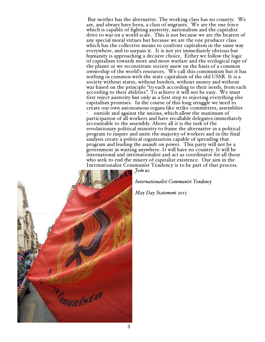But neither has the alternative. The working class has no country. We are, and always have been, a class of migrants. We are the one force which is capable of fighting austerity, nationalism and the capitalist drive to war on a world scale. This is not because we are the bearers of any special moral virtues but because we are the one producer class which has the collective means to confront capitalism in the same way everywhere, and to surpass it. It is not yet immediately obvious but humanity is approaching a decisive choice. Either we follow the logic of capitalism towards more and more warfare and the ecological rape of the planet or we reconstitute society anew on the basis of a common ownership of the world's resources. We call this communism but it has nothing in common with the state capitalism of the old USSR. It is a society without states, without borders, without money and without war based on the principle "to each according to their needs, from each according to their abilities". To achieve it will not be easy. We must first reject austerity but only as a first step to rejecting everything else capitalism promises. In the course of this long struggle we need to create our own autonomous organs like strike committees, assemblies

outside and against the unions, which allow the maximum of participation of all workers and have recallable delegates immediately accountable to the assembly. Above all it is the task of the revolutionary political minority to frame the alternative in a political program to inspire and unite the majority of workers and in the final analysis create a political organization capable of spreading that program and leading the assault on power. This party will not be a government in waiting anywhere. It will have no country. It will be international and internationalist and act as coordinator for all those who seek to end the misery of capitalist existence. Our aim in the Internationalist Communist Tendency is to be part of that process.



Internationalist Communist Tendency

May Day Statement 2015

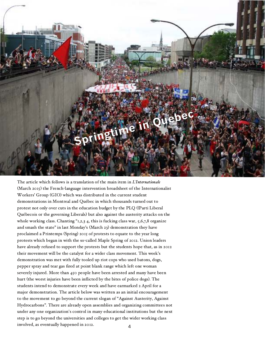

The article which follows is a translation of the main item in *L'Internationale*  $(March 2015)$  the French-language intervention broadsheet of the Internationalist Workers' Group (GIO) which was distributed in the current student demonstrations in Montreal and Québec in which thousands turned out to protest not only over cuts in the education budget by the PLQ ((Parti Liberal Québecois or the governing Liberals) but also against the austerity attacks on the whole working class. Chanting "1,2,3 4, this is fucking class war, 5,6,7,8 organize and smash the state" in last Monday's (March 23) demonstration they have proclaimed a Printemps (Spring) 2015 of protests to equate to the year long protests which began in with the so-called Maple Spring of 2012. Union leaders have already refused to support the protests but the students hope that, as in 2012 their movement will be the catalyst for a wider class movement. This week's demonstration was met with fully tooled up riot cops who used batons, dogs, pepper spray and tear gas fired at point blank range which left one woman severely injured. More than 450 people have been arrested and many have been hurt (the worst injuries have been inflicted by the bites of police dogs). The students intend to demonstrate every week and have earmarked 2 April for a major demonstration. The article below was written as an initial encouragement to the movement to go beyond the current slogan of "Against Austerity, Against Hydrocarbons". There are already open assemblies and organizing committees not under any one organization's control in many educational institutions but the next step is to go beyond the universities and colleges to get the wider working class involved, as eventually happened in 2012. 4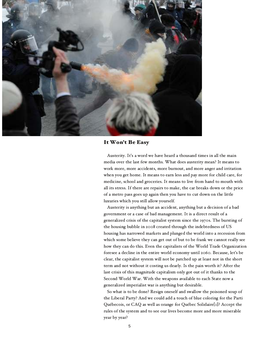

#### It Won't Be Easy

Austerity. It's a word we have heard a thousand times in all the main media over the last few months. What does austerity mean? It means to work more, more accidents, more burnout, and more anger and irritation when you get home. It means to earn less and pay more for child care, for medicine, school and groceries. It means to live from hand to mouth with all its stress. If there are repairs to make, the car breaks down or the price of a metro pass goes up again then you have to cut down on the little luxuries which you still allow yourself.

Austerity is anything but an accident, anything but a decision of a bad government or a case of bad management. It is a direct result of a generalized crisis of the capitalist system since the 1970s. The bursting of the housing bubble in 2008 created through the indebtedness of US housing has narrowed markets and plunged the world into a recession from which some believe they can get out of but to be frank we cannot really see how they can do this. Even the capitalists of the World Trade Organization foresee a decline in the entire world economy until 2060. Because, let's be clear, the capitalist system will not be patched up at least not in the short term and not without it costing us dearly. Is the pain worth it? After the last crisis of this magnitude capitalism only got out of it thanks to the Second World War. With the weapons available to each State now a generalized imperialist war is anything but desirable.

So what is to be done? Resign oneself and swallow the poisoned soup of the Liberal Party? And we could add a touch of blue coloring for the Parti Québecois, or CAQ as well as orange for Québec Solidaire $\{I\}$ ? Accept the rules of the system and to see our lives become more and more miserable year by year?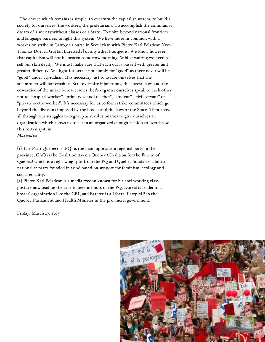The choice which remains is simple: to overturn the capitalist system, to build a society for ourselves, the workers, the proletarians. To accomplish the communist dream of a society without classes or a State. To unite beyond national frontiers and language barriers to fight this system. We have more in common with a worker on strike in Cairo,or a nurse in Seoul than with Pierre Karl Peladeau,Yves Thomas Dorval, Gaétan Barette, $[2]$  or any other bourgeois. We know however that capitalism will not be beaten tomorrow morning. Whilst waiting we need to sell our skin dearly. We must make sure that each cut is passed with greater and greater difficulty. We fight for better not simply for "good" as there never will be "good" under capitalism. It is necessary just to assure ourselves that the steamroller will not crush us. Strike despite injunctions, the special laws and the cowardice of the union bureaucracies. Let's organist ourselves speak to each other not as "hospital worker", "primary school teacher", "student", "civil servant" or "private sector worker". It's necessary for us to form strike committees which go beyond the divisions imposed by the bosses and the laws of the State. Then above all through our struggles to regroup as revolutionaries to give ourselves an organization which allows us to act in an organized enough fashion to overthrow this rotten system.

Maximilien

 $\{I\}$  The Parti Quebécois (PQ) is the main opposition regional party in the province, CAQ is the Coalition Avenir Québec (Coalition for the Future of Quebec) which is a right wing split from the PQ and Québec Solidaire, a leftist nationalist party founded in 2006 based on support for feminism, ecology and social equality.

[2] Pierre Karl Peladeau is a media tycoon known for his anti-working class posture now leading the race to become boss of the PQ, Dorval is leader of a bosses' organization like the CBI, and Barette is a Liberal Party MP in the Québec Parliament and Health Minister in the provincial government.

Friday, March 27, 2015

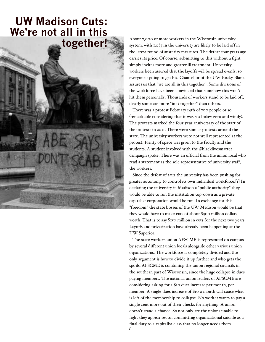## **UW Madison Cuts: We're not all in this together!**



About 7,000 or more workers in the Wisconsin university system, with 1.085 in the university are likely to be laid off in the latest round of austerity measures. The defeat four years ago carries its price. Of course, submitting to this without a fight simply invites more and greater ill treatment. University workers been assured that the layoffs will be spread evenly, so everyone's going to get hit. Chancellor of the UW Becky Blank assures us that "we are all in this together". Some divisions of the workforce have been convinced that somehow this won't hit them personally. Thousands of workers stand to be laid off, clearly some are more "in it together" than others.

There was a protest February 14th of 700 people or so, (remarkable considering that it was -10 below zero and windy). The protests marked the four-year anniversary of the start of the protests in 2011. There were similar protests around the state. The university workers were not well represented at the protest. Plenty of space was given to the faculty and the students. A student involved with the #blacklivesmatter campaign spoke. There was an official from the union local who read a statement as the sole representative of university staff, the workers.

Since the defeat of 2011 the university has been pushing for greater autonomy to control its own individual workforce.[1] In declaring the university in Madison a "public authority" they would be able to run the institution top-down as a private capitalist corporation would be run. In exchange for this "freedom" the state bosses of the UW Madison would be that they would have to make cuts of about \$300 million dollars worth. That is to say \$150 million in cuts for the next two years. Layoffs and privatization have already been happening at the UW Superior.

The state workers union AFSCME is represented on campus by several different union locals alongside other various union organizations. The workforce is completely divided and the only argument is how to divide it up further and who gets the spoils. AFSCME is combining the union regional councils in the southern part of Wisconsin, since the huge collapse in dues paying members. The national union leaders of AFSCME are considering asking for a \$10 dues increase per month, per member. A single dues increase of \$10 a month will cause what is left of the membership to collapse. No worker wants to pay a single cent more out of their checks for anything. A union doesn't stand a chance. So not only are the unions unable to fight they appear set on committing organizational suicide as a final duty to a capitalist class that no longer needs them.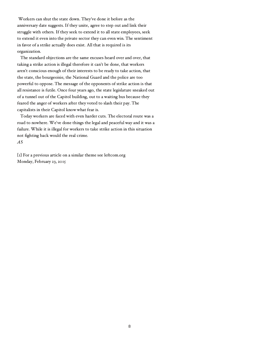Workers can shut the state down. They've done it before as the anniversary date suggests. If they unite, agree to step out and link their struggle with others. If they seek to extend it to all state employees, seek to extend it even into the private sector they can even win. The sentiment in favor of a strike actually does exist. All that is required is its organization.

The standard objections are the same excuses heard over and over, that taking a strike action is illegal therefore it can't be done, that workers aren't conscious enough of their interests to be ready to take action, that the state, the bourgeoisie, the National Guard and the police are too powerful to oppose. The message of the opponents of strike action is that all resistance is futile. Once four years ago, the state legislature sneaked out of a tunnel out of the Capitol building, out to a waiting bus because they feared the anger of workers after they voted to slash their pay. The capitalists in their Capitol know what fear is.

Today workers are faced with even harder cuts. The electoral route was a road to nowhere. We've done things the legal and peaceful way and it was a failure. While it is illegal for workers to take strike action in this situation not fighting back would the real crime.  $AS$ 

 $\left[1\right]$  For a previous article on a similar theme see leftcom.org Monday, February 23, 2015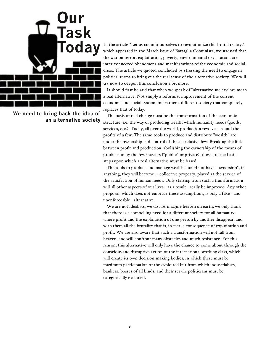

**We need to bring back the idea of an alternative society**

In the article "Let us commit ourselves to revolutionize this brutal reality," which appeared in the March issue of Battaglia Comunista, we stressed that the war on terror, exploitation, poverty, environmental devastation, are inter-connected phenomena and manifestations of the economic and social crisis. The article we quoted concluded by stressing the need to engage in political terms to bring out the real sense of the alternative society. We will try now to deepen this conclusion a bit more.

It should first be said that when we speak of "alternative society" we mean a real alternative. Not simply a reformist improvement of the current economic and social system, but rather a different society that completely replaces that of today.

The basis of real change must be the transformation of the economic structure, i.e. the way of producing wealth which humanity needs (goods, services, etc.). Today, all over the world, production revolves around the profits of a few. The same tools to produce and distribute "wealth" are under the ownership and control of these exclusive few. Breaking the link between profit and production, abolishing the ownership of the means of production by the few masters ("public" or private), these are the basic steps upon which a real alternative must be based.

The tools to produce and manage wealth should not have "ownership", if anything, they will become ... collective property, placed at the service of the satisfaction of human needs. Only starting from such a transformation will all other aspects of our lives - as a result - really be improved. Any other proposal, which does not embrace these assumptions, is only a fake - and unenforceable - alternative.

We are not idealists, we do not imagine heaven on earth, we only think that there is a compelling need for a different society for all humanity, where profit and the exploitation of one person by another disappear, and with them all the brutality that is, in fact, a consequence of exploitation and profit. We are also aware that such a transformation will not fall from heaven, and will confront many obstacles and much resistance. For this reason, this alternative will only have the chance to come about through the conscious and disruptive action of the international working class, which will create its own decision-making bodies, in which there must be maximum participation of the exploited but from which industrialists, bankers, bosses of all kinds, and their servile politicians must be categorically excluded.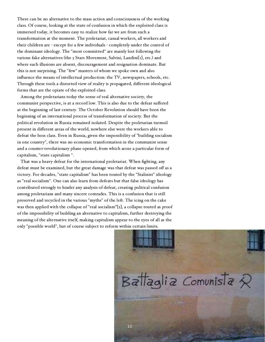There can be no alternative to the mass action and consciousness of the working class. Of course, looking at the state of confusion in which the exploited class is immersed today, it becomes easy to realize how far we are from such a transformation at the moment. The proletariat, casual workers, all workers and their children are - except for a few individuals - completely under the control of the dominant ideology. The "most committed" are mainly lost following the various fake alternatives (the  $\varsigma$  Stars Movement, Salvini, Landini[1], etc.) and where such illusions are absent, discouragement and resignation dominate. But this is not surprising. The "few" masters of whom we spoke own and also influence the means of intellectual production: the TV, newspapers, schools, etc. Through these tools a distorted view of reality is propagated, different ideological forms that are the opiate of the exploited class.

Among the proletarians today the sense of real alternative society, the communist perspective, is at a record low. This is also due to the defeat suffered at the beginning of last century. The October Revolution should have been the beginning of an international process of transformation of society. But the political revolution in Russia remained isolated. Despite the proletarian turmoil present in different areas of the world, nowhere else were the workers able to defeat the boss class. Even in Russia, given the impossibility of "building socialism in one country", there was no economic transformation in the communist sense and a counter-revolutionary phase opened, from which arose a particular form of capitalism, "state capitalism ".

That was a heavy defeat for the international proletariat. When fighting, any defeat must be examined, but the great damage was that defeat was passed off as a victory. For decades, "state capitalism" has been touted by the "Stalinist" ideology as "real socialism". One can also learn from defeats but that false ideology has contributed strongly to hinder any analysis of defeat, creating political confusion among proletarians and many sincere comrades. This is a confusion that is still preserved and recycled in the various "myths" of the left. The icing on the cake was then applied with the collapse of "real socialism"[2], a collapse touted as proof of the impossibility of building an alternative to capitalism, further destroying the meaning of the alternative itself, making capitalism appear to the eyes of all as the only "possible world", but of course subject to reform within certain limits.

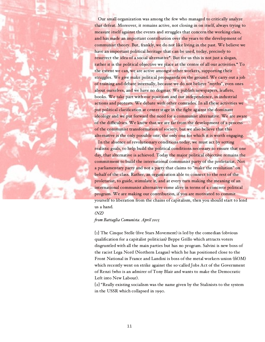Our small organization was among the few who managed to critically analyze that defeat. Moreover, it remains active, not closing in on itself, always trying to measure itself against the events and struggles that concern the working class, and has made an important contribution over the years to the development of communist theory. But, frankly, we do not like living in the past. We believe we have an important political heritage that can be used, today, precisely to resurrect the idea of a social alternative\*. But for us this is not just a slogan, rather it is the political objective we place at the centre of all our activities.\* To the extent we can, we are active amongst other workers, supporting their struggles. We give make political propaganda on the ground. We carry out a job of training and debate internally, because we do not believe "myths", even ones about ourselves, and we have no dogmas. We publish newspapers, leaflets, books. We take part with our positions and our independence, in industrial actions and protests. We debate with other comrades. In all these activities we put political clarification at center stage in the fight against the dominant ideology and we put forward the need for a communist alternative. We are aware of the difficulties. We know that we are far from the development of a process of the communist transformation of society, but we also believe that this alternative is the only possible one, the only one for which it is worth engaging.

In the absence of revolutionary conditions today, we must act by setting realistic goals, to help build the political conditions necessary to ensure that one day, that alternative is achieved. Today the major political objective remains the commitment to build the international communist party of the proletariat. Not a parliamentary party and not a party that claims to "make the revolution" on behalf of the class. Rather, an organization able to connect to the rest of the proletariat, to guide, stimulate it, and at every turn making the meaning of an international communist alternative come alive in terms of a concrete political program. We are making our contribution, if you are motivated to commit yourself to liberation from the chains of capitalism, then you should start to lend us a hand.

#### $(XZ)$

from Battaglia Comunista. April 2015

[1] The Cinque Stelle (five Stars Movement) is led by the comedian (obvious qualification for a capitalist politician) Beppe Grillo which attracts voters disgruntled with all the main parties but has no program. Salvini is new boss of the racist Lega Nord (Northern League) which he has positioned close to the Front National in France and Landini is boss of the metal workers union (fiOM) which recently went on strike against the so-called Jobs Act of the Government of Renzi (who is an admirer of Tony Blair and wants to make the Democratic Left into New Labour).

[2] "Really existing socialism was the name given by the Stalinists to the system in the USSR which collapsed in 1990.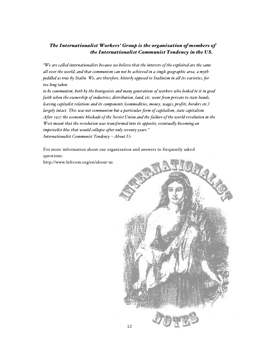#### The Internationalist Workers' Group is the organization of members of the Internationalist Communist Tendency in the US.

"We are called internationalists because we believe that the interests ofthe exploited are the same all over the world, and that communism can not be achieved in a single geographic area, a myth peddled as true by Stalin. We, are therefore, bitterly opposed to Stalinism in all its varieties, for too long taken

to be communism, both by the bourgeoisie and many generations of workers who looked to it in good faith when the ownership of industries, distribution, land, etc. went from private to state hands, leaving capitalist relations and its components (commodities, money, wages, profits, borders etc.) largely intact. This was not communism but a particular form of capitalism, state capitalism. After 1917 the economic blockade of the Soviet Union and the failure of the world revolution in the West meant that the revolution was transformed into its opposite, eventually becoming an imperialist bloc that would collapse after only seventy years. " Internationalist Communist Tendency < A bout Us

For more information about our organization and answers to frequently asked questions:

http://www.leftcom.org/en/about-us